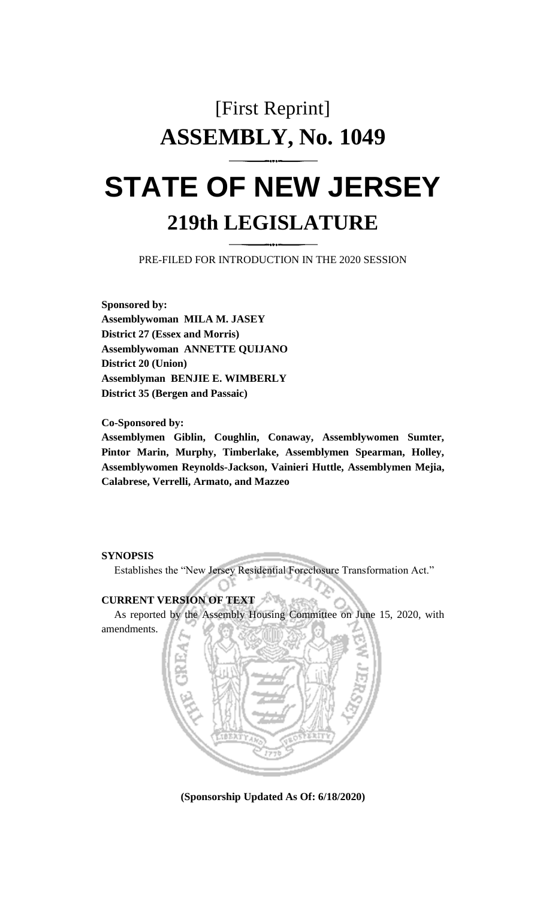# [First Reprint] **ASSEMBLY, No. 1049**

# **STATE OF NEW JERSEY 219th LEGISLATURE**

PRE-FILED FOR INTRODUCTION IN THE 2020 SESSION

**Sponsored by: Assemblywoman MILA M. JASEY District 27 (Essex and Morris) Assemblywoman ANNETTE QUIJANO District 20 (Union) Assemblyman BENJIE E. WIMBERLY District 35 (Bergen and Passaic)**

**Co-Sponsored by:**

**Assemblymen Giblin, Coughlin, Conaway, Assemblywomen Sumter, Pintor Marin, Murphy, Timberlake, Assemblymen Spearman, Holley, Assemblywomen Reynolds-Jackson, Vainieri Huttle, Assemblymen Mejia, Calabrese, Verrelli, Armato, and Mazzeo**

# **SYNOPSIS**

Establishes the "New Jersey Residential Foreclosure Transformation Act."

# **CURRENT VERSION OF TEXT**

As reported by the Assembly Housing Committee on June 15, 2020, with



**(Sponsorship Updated As Of: 6/18/2020)**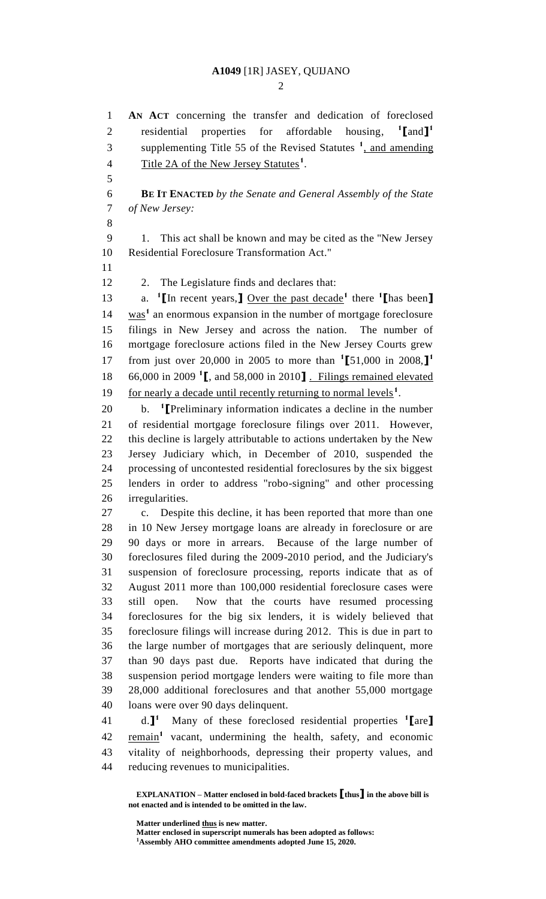$\mathcal{D}$ 

 **AN ACT** concerning the transfer and dedication of foreclosed residential properties for affordable housing, **[**and**] 1** 3 supplementing Title 55 of the Revised Statutes <sup>1</sup>, and amending 4 Title 2A of the New Jersey Statutes<sup>1</sup>. 

 **BE IT ENACTED** *by the Senate and General Assembly of the State of New Jersey:*

 1. This act shall be known and may be cited as the "New Jersey Residential Foreclosure Transformation Act."

12 2. The Legislature finds and declares that:

13 **a. 1 [In recent years,]** Over the past decade<sup>1</sup> there **1** [has been] 14 was<sup>1</sup> an enormous expansion in the number of mortgage foreclosure filings in New Jersey and across the nation. The number of mortgage foreclosure actions filed in the New Jersey Courts grew from just over 20,000 in 2005 to more than **<sup>1</sup> [**51,000 in 2008,**] 1** 66,000 in 2009 **<sup>1</sup> [**, and 58,000 in 2010**]** . Filings remained elevated 19 for nearly a decade until recently returning to normal levels<sup>1</sup>.

b. **<sup>1</sup> [**Preliminary information indicates a decline in the number of residential mortgage foreclosure filings over 2011. However, this decline is largely attributable to actions undertaken by the New Jersey Judiciary which, in December of 2010, suspended the processing of uncontested residential foreclosures by the six biggest lenders in order to address "robo-signing" and other processing irregularities.

 c. Despite this decline, it has been reported that more than one in 10 New Jersey mortgage loans are already in foreclosure or are 90 days or more in arrears. Because of the large number of foreclosures filed during the 2009-2010 period, and the Judiciary's suspension of foreclosure processing, reports indicate that as of August 2011 more than 100,000 residential foreclosure cases were still open. Now that the courts have resumed processing foreclosures for the big six lenders, it is widely believed that foreclosure filings will increase during 2012. This is due in part to the large number of mortgages that are seriously delinquent, more than 90 days past due. Reports have indicated that during the suspension period mortgage lenders were waiting to file more than 28,000 additional foreclosures and that another 55,000 mortgage loans were over 90 days delinquent.

d.**] 1** Many of these foreclosed residential properties **<sup>1</sup> [**are**]** 42 remain<sup>1</sup> vacant, undermining the health, safety, and economic vitality of neighborhoods, depressing their property values, and reducing revenues to municipalities.

**EXPLANATION – Matter enclosed in bold-faced brackets [thus] in the above bill is not enacted and is intended to be omitted in the law.**

**Matter underlined thus is new matter.**

**Matter enclosed in superscript numerals has been adopted as follows: Assembly AHO committee amendments adopted June 15, 2020.**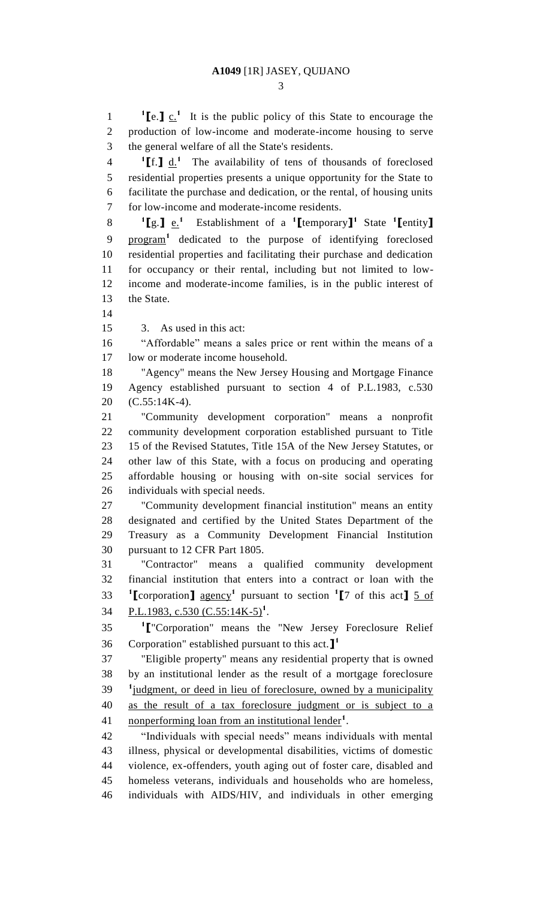**1 [**e.**]** c.**<sup>1</sup>** It is the public policy of this State to encourage the

 production of low-income and moderate-income housing to serve the general welfare of all the State's residents. If  $\mathbf{I}$   $\mathbf{d}$  <sup>1</sup> The availability of tens of thousands of foreclosed residential properties presents a unique opportunity for the State to facilitate the purchase and dedication, or the rental, of housing units for low-income and moderate-income residents. **[**g.**]** e.**<sup>1</sup>** Establishment of a **<sup>1</sup> [**temporary**] 1** State **<sup>1</sup> [**entity**]** 9 program<sup>1</sup> dedicated to the purpose of identifying foreclosed residential properties and facilitating their purchase and dedication for occupancy or their rental, including but not limited to low- income and moderate-income families, is in the public interest of the State. 

3. As used in this act:

 "Affordable" means a sales price or rent within the means of a low or moderate income household.

 "Agency" means the New Jersey Housing and Mortgage Finance Agency established pursuant to section 4 of P.L.1983, c.530 (C.55:14K-4).

 "Community development corporation" means a nonprofit community development corporation established pursuant to Title 15 of the Revised Statutes, Title 15A of the New Jersey Statutes, or other law of this State, with a focus on producing and operating affordable housing or housing with on-site social services for individuals with special needs.

 "Community development financial institution" means an entity designated and certified by the United States Department of the Treasury as a Community Development Financial Institution pursuant to 12 CFR Part 1805.

 "Contractor" means a qualified community development financial institution that enters into a contract or loan with the **[**corporation**]** agency**<sup>1</sup>** pursuant to section **<sup>1</sup> [**7 of this act**]** 5 of **P.L.1983, c.530 (C.55:14K-5)<sup>1</sup>**.

**1 [**"Corporation" means the "New Jersey Foreclosure Relief Corporation" established pursuant to this act.**] 1** 

 "Eligible property" means any residential property that is owned by an institutional lender as the result of a mortgage foreclosure <sup>1</sup> judgment, or deed in lieu of foreclosure, owned by a municipality as the result of a tax foreclosure judgment or is subject to a 41 . nonperforming loan from an institutional lender<sup>1</sup>.

 "Individuals with special needs" means individuals with mental illness, physical or developmental disabilities, victims of domestic violence, ex-offenders, youth aging out of foster care, disabled and homeless veterans, individuals and households who are homeless, individuals with AIDS/HIV, and individuals in other emerging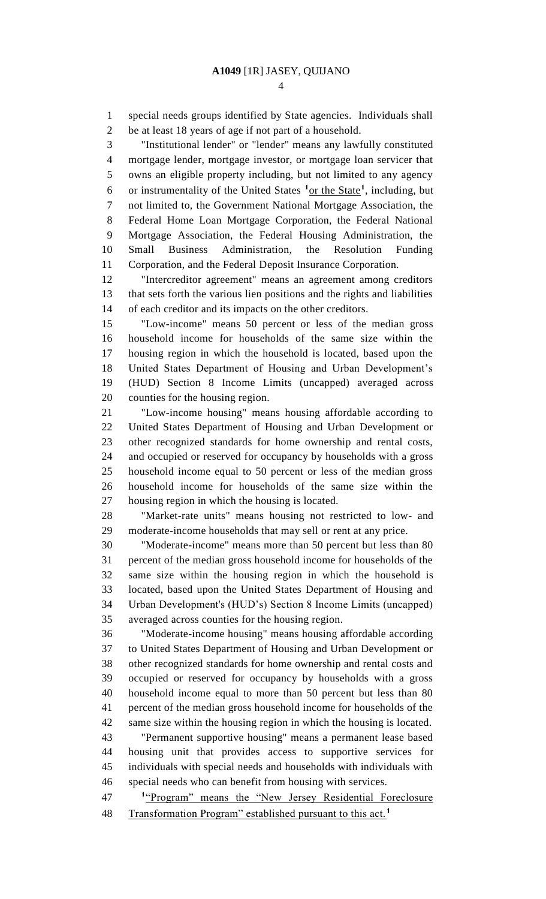special needs groups identified by State agencies. Individuals shall be at least 18 years of age if not part of a household.

 "Institutional lender" or "lender" means any lawfully constituted mortgage lender, mortgage investor, or mortgage loan servicer that owns an eligible property including, but not limited to any agency 6 or instrumentality of the United States <sup>1</sup> or the State<sup>1</sup>, including, but not limited to, the Government National Mortgage Association, the Federal Home Loan Mortgage Corporation, the Federal National Mortgage Association, the Federal Housing Administration, the Small Business Administration, the Resolution Funding Corporation, and the Federal Deposit Insurance Corporation.

 "Intercreditor agreement" means an agreement among creditors that sets forth the various lien positions and the rights and liabilities of each creditor and its impacts on the other creditors.

 "Low-income" means 50 percent or less of the median gross household income for households of the same size within the housing region in which the household is located, based upon the United States Department of Housing and Urban Development's (HUD) Section 8 Income Limits (uncapped) averaged across counties for the housing region.

 "Low-income housing" means housing affordable according to United States Department of Housing and Urban Development or other recognized standards for home ownership and rental costs, and occupied or reserved for occupancy by households with a gross household income equal to 50 percent or less of the median gross household income for households of the same size within the housing region in which the housing is located.

 "Market-rate units" means housing not restricted to low- and moderate-income households that may sell or rent at any price.

 "Moderate-income" means more than 50 percent but less than 80 percent of the median gross household income for households of the same size within the housing region in which the household is located, based upon the United States Department of Housing and Urban Development's (HUD's) Section 8 Income Limits (uncapped) averaged across counties for the housing region.

 "Moderate-income housing" means housing affordable according to United States Department of Housing and Urban Development or other recognized standards for home ownership and rental costs and occupied or reserved for occupancy by households with a gross household income equal to more than 50 percent but less than 80 percent of the median gross household income for households of the same size within the housing region in which the housing is located. "Permanent supportive housing" means a permanent lease based

 housing unit that provides access to supportive services for individuals with special needs and households with individuals with special needs who can benefit from housing with services.

**1** "Program" means the "New Jersey Residential Foreclosure Transformation Program" established pursuant to this act.**<sup>1</sup>**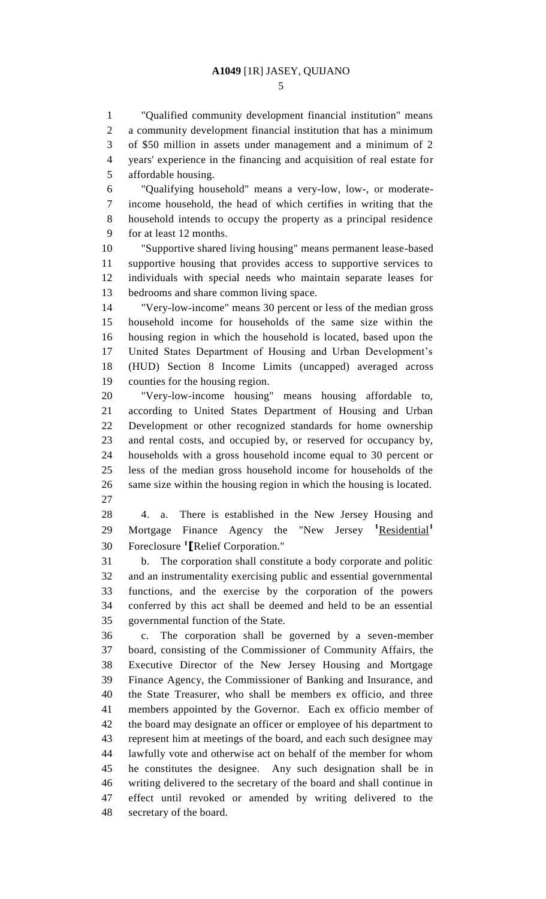"Qualified community development financial institution" means a community development financial institution that has a minimum of \$50 million in assets under management and a minimum of 2 years' experience in the financing and acquisition of real estate for affordable housing.

 "Qualifying household" means a very-low, low-, or moderate- income household, the head of which certifies in writing that the household intends to occupy the property as a principal residence for at least 12 months.

 "Supportive shared living housing" means permanent lease-based supportive housing that provides access to supportive services to individuals with special needs who maintain separate leases for bedrooms and share common living space.

 "Very-low-income" means 30 percent or less of the median gross household income for households of the same size within the housing region in which the household is located, based upon the United States Department of Housing and Urban Development's (HUD) Section 8 Income Limits (uncapped) averaged across counties for the housing region.

 "Very-low-income housing" means housing affordable to, according to United States Department of Housing and Urban Development or other recognized standards for home ownership and rental costs, and occupied by, or reserved for occupancy by, households with a gross household income equal to 30 percent or less of the median gross household income for households of the same size within the housing region in which the housing is located. 

 4. a. There is established in the New Jersey Housing and Mortgage Finance Agency the "New Jersey **<sup>1</sup>**Residential**<sup>1</sup>** Foreclosure **<sup>1</sup> [**Relief Corporation."

 b. The corporation shall constitute a body corporate and politic and an instrumentality exercising public and essential governmental functions, and the exercise by the corporation of the powers conferred by this act shall be deemed and held to be an essential governmental function of the State.

 c. The corporation shall be governed by a seven-member board, consisting of the Commissioner of Community Affairs, the Executive Director of the New Jersey Housing and Mortgage Finance Agency, the Commissioner of Banking and Insurance, and the State Treasurer, who shall be members ex officio, and three members appointed by the Governor. Each ex officio member of the board may designate an officer or employee of his department to represent him at meetings of the board, and each such designee may lawfully vote and otherwise act on behalf of the member for whom he constitutes the designee. Any such designation shall be in writing delivered to the secretary of the board and shall continue in effect until revoked or amended by writing delivered to the secretary of the board.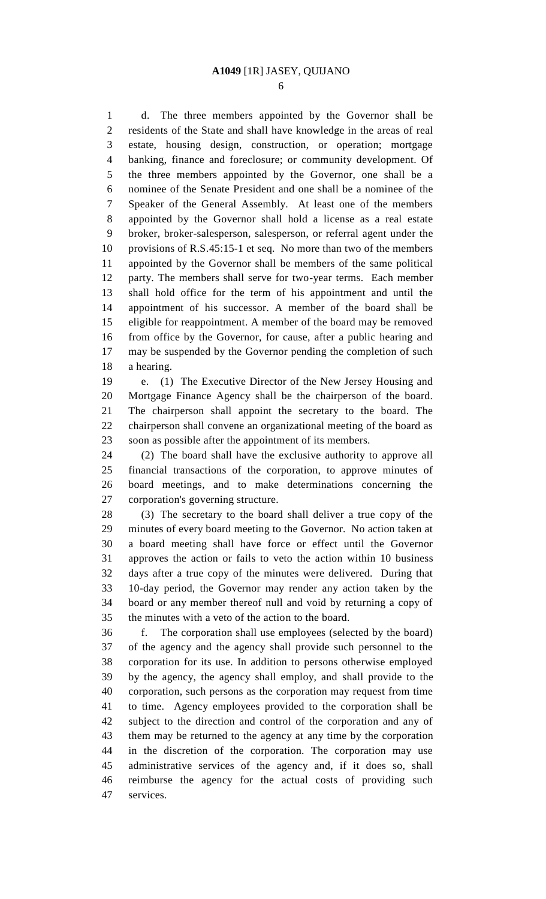d. The three members appointed by the Governor shall be residents of the State and shall have knowledge in the areas of real estate, housing design, construction, or operation; mortgage banking, finance and foreclosure; or community development. Of the three members appointed by the Governor, one shall be a nominee of the Senate President and one shall be a nominee of the Speaker of the General Assembly. At least one of the members appointed by the Governor shall hold a license as a real estate broker, broker-salesperson, salesperson, or referral agent under the provisions of R.S.45:15-1 et seq. No more than two of the members appointed by the Governor shall be members of the same political party. The members shall serve for two-year terms. Each member shall hold office for the term of his appointment and until the appointment of his successor. A member of the board shall be eligible for reappointment. A member of the board may be removed from office by the Governor, for cause, after a public hearing and may be suspended by the Governor pending the completion of such a hearing.

 e. (1) The Executive Director of the New Jersey Housing and Mortgage Finance Agency shall be the chairperson of the board. The chairperson shall appoint the secretary to the board. The chairperson shall convene an organizational meeting of the board as soon as possible after the appointment of its members.

 (2) The board shall have the exclusive authority to approve all financial transactions of the corporation, to approve minutes of board meetings, and to make determinations concerning the corporation's governing structure.

 (3) The secretary to the board shall deliver a true copy of the minutes of every board meeting to the Governor. No action taken at a board meeting shall have force or effect until the Governor approves the action or fails to veto the action within 10 business days after a true copy of the minutes were delivered. During that 10-day period, the Governor may render any action taken by the board or any member thereof null and void by returning a copy of the minutes with a veto of the action to the board.

 f. The corporation shall use employees (selected by the board) of the agency and the agency shall provide such personnel to the corporation for its use. In addition to persons otherwise employed by the agency, the agency shall employ, and shall provide to the corporation, such persons as the corporation may request from time to time. Agency employees provided to the corporation shall be subject to the direction and control of the corporation and any of them may be returned to the agency at any time by the corporation in the discretion of the corporation. The corporation may use administrative services of the agency and, if it does so, shall reimburse the agency for the actual costs of providing such services.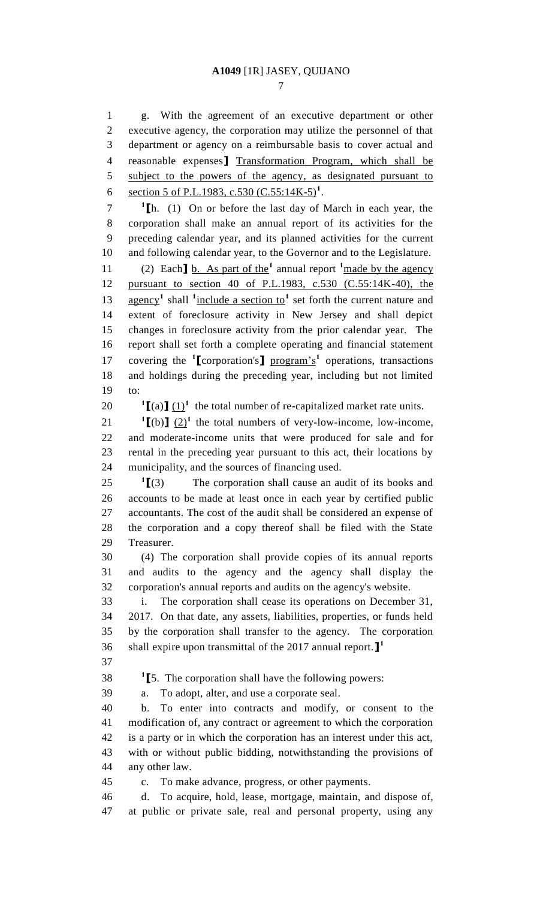g. With the agreement of an executive department or other executive agency, the corporation may utilize the personnel of that department or agency on a reimbursable basis to cover actual and reasonable expenses**]** Transformation Program, which shall be 5 subject to the powers of the agency, as designated pursuant to 6 section 5 of P.L.1983, c.530  $(C.55:14K-5)^1$ .

 **[**h. (1) On or before the last day of March in each year, the corporation shall make an annual report of its activities for the preceding calendar year, and its planned activities for the current and following calendar year, to the Governor and to the Legislature.

(2) Each**]** b. As part of the**<sup>1</sup>** annual report **<sup>1</sup>** made by the agency pursuant to section 40 of P.L.1983, c.530 (C.55:14K-40), the 13 agency<sup>1</sup> shall <sup>1</sup> include a section to<sup>1</sup> set forth the current nature and extent of foreclosure activity in New Jersey and shall depict changes in foreclosure activity from the prior calendar year. The report shall set forth a complete operating and financial statement 17 covering the **1** [corporation's ] program's<sup>1</sup> operations, transactions and holdings during the preceding year, including but not limited to:

20  $\int [a][(a)]^{1}$  the total number of re-capitalized market rate units.

 $\textbf{I}$   $[$ (b) $\textbf{I}$   $(2)$ <sup>1</sup> the total numbers of very-low-income, low-income, and moderate-income units that were produced for sale and for rental in the preceding year pursuant to this act, their locations by municipality, and the sources of financing used.

 $^{1}$ [(3)  $25 \tI[(3)$  The corporation shall cause an audit of its books and accounts to be made at least once in each year by certified public accountants. The cost of the audit shall be considered an expense of the corporation and a copy thereof shall be filed with the State Treasurer.

 (4) The corporation shall provide copies of its annual reports and audits to the agency and the agency shall display the corporation's annual reports and audits on the agency's website.

 i. The corporation shall cease its operations on December 31, 2017. On that date, any assets, liabilities, properties, or funds held by the corporation shall transfer to the agency. The corporation shall expire upon transmittal of the 2017 annual report.**] 1** 

**1 [**5. The corporation shall have the following powers:

a. To adopt, alter, and use a corporate seal.

 b. To enter into contracts and modify, or consent to the modification of, any contract or agreement to which the corporation is a party or in which the corporation has an interest under this act, with or without public bidding, notwithstanding the provisions of any other law.

c. To make advance, progress, or other payments.

 d. To acquire, hold, lease, mortgage, maintain, and dispose of, at public or private sale, real and personal property, using any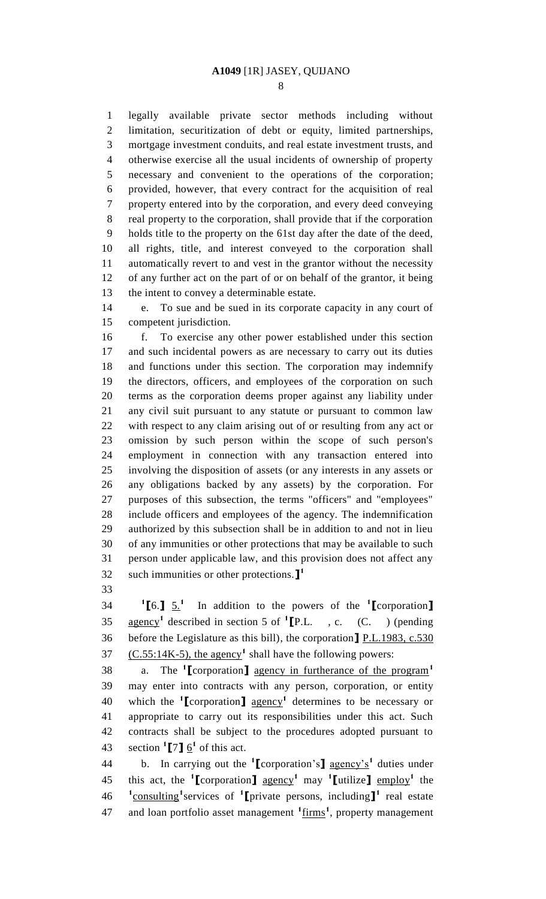legally available private sector methods including without limitation, securitization of debt or equity, limited partnerships, mortgage investment conduits, and real estate investment trusts, and otherwise exercise all the usual incidents of ownership of property necessary and convenient to the operations of the corporation; provided, however, that every contract for the acquisition of real property entered into by the corporation, and every deed conveying real property to the corporation, shall provide that if the corporation holds title to the property on the 61st day after the date of the deed, all rights, title, and interest conveyed to the corporation shall automatically revert to and vest in the grantor without the necessity of any further act on the part of or on behalf of the grantor, it being the intent to convey a determinable estate.

 e. To sue and be sued in its corporate capacity in any court of competent jurisdiction.

 f. To exercise any other power established under this section and such incidental powers as are necessary to carry out its duties and functions under this section. The corporation may indemnify the directors, officers, and employees of the corporation on such terms as the corporation deems proper against any liability under any civil suit pursuant to any statute or pursuant to common law with respect to any claim arising out of or resulting from any act or omission by such person within the scope of such person's employment in connection with any transaction entered into involving the disposition of assets (or any interests in any assets or any obligations backed by any assets) by the corporation. For purposes of this subsection, the terms "officers" and "employees" include officers and employees of the agency. The indemnification authorized by this subsection shall be in addition to and not in lieu of any immunities or other protections that may be available to such person under applicable law, and this provision does not affect any such immunities or other protections.**] 1** 

 $^{1}$ [6.]  $\frac{5.1}{1}$  In addition to the powers of the **<sup>1</sup> [**corporation**]** agency**<sup>1</sup>** described in section 5 of **<sup>1</sup> [**P.L. , c. (C. ) (pending before the Legislature as this bill), the corporation**]** P.L.1983, c.530 37  $(C.55:14K-5)$ , the agency<sup>1</sup> shall have the following powers:

a. The **<sup>1</sup> [**corporation**]** agency in furtherance of the program**<sup>1</sup>** may enter into contracts with any person, corporation, or entity which the **<sup>1</sup> [**corporation**]** agency**<sup>1</sup>** determines to be necessary or appropriate to carry out its responsibilities under this act. Such contracts shall be subject to the procedures adopted pursuant to 43 section  $\binom{1}{1}$   $\frac{6}{1}$  of this act.

b. In carrying out the **<sup>1</sup> [**corporation's**]** agency's**<sup>1</sup>** duties under this act, the **<sup>1</sup> [**corporation**]** agency**<sup>1</sup>** may **<sup>1</sup> [**utilize**]** employ**<sup>1</sup>** the **1** consulting**<sup>1</sup>** services of **<sup>1</sup> [**private persons, including**] 1** real estate and loan portfolio asset management **<sup>1</sup>** firms**<sup>1</sup>** , property management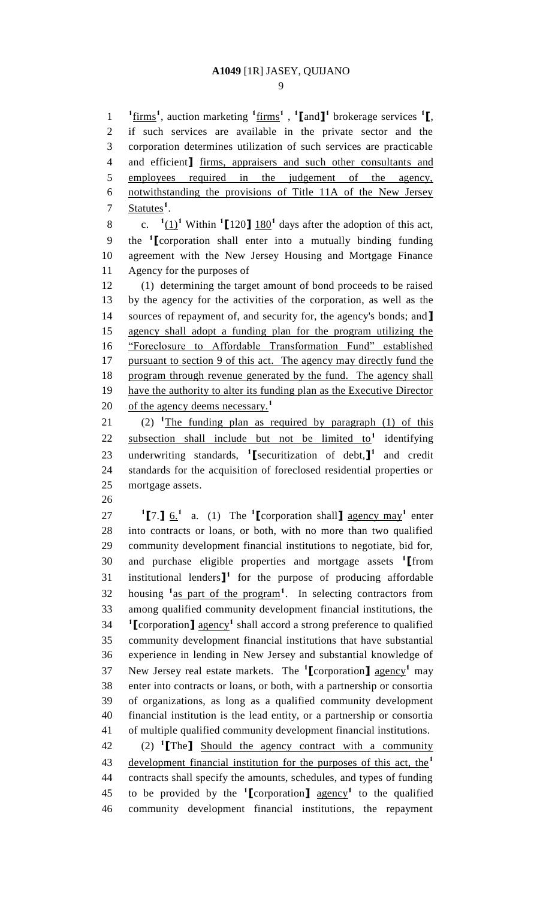firms**<sup>1</sup>** , auction marketing **<sup>1</sup>** firms**<sup>1</sup>** , **1 [**and**] 1** brokerage services **<sup>1</sup> [**, if such services are available in the private sector and the corporation determines utilization of such services are practicable and efficient**]** firms, appraisers and such other consultants and employees required in the judgement of the agency, notwithstanding the provisions of Title 11A of the New Jersey 7 Statutes<sup>1</sup>.

c. **<sup>1</sup>** 8 c.  $(\frac{1}{1})^1$  Within  $(\frac{1}{120})^1$  days after the adoption of this act, the **<sup>1</sup> [**corporation shall enter into a mutually binding funding agreement with the New Jersey Housing and Mortgage Finance Agency for the purposes of

 (1) determining the target amount of bond proceeds to be raised by the agency for the activities of the corporation, as well as the sources of repayment of, and security for, the agency's bonds; and**]** agency shall adopt a funding plan for the program utilizing the "Foreclosure to Affordable Transformation Fund" established pursuant to section 9 of this act. The agency may directly fund the 18 program through revenue generated by the fund. The agency shall 19 have the authority to alter its funding plan as the Executive Director of the agency deems necessary.**<sup>1</sup>** 

21  $(2)$  <sup>1</sup>The funding plan as required by paragraph (1) of this 22 subsection shall include but not be limited to<sup>1</sup> identifying 23 underwriting standards, <sup>1</sup> [securitization of debt, ]<sup>1</sup> and credit standards for the acquisition of foreclosed residential properties or mortgage assets.

**1 [7.]**  $6.\textbf{1}$  a. (1) The **1 [**corporation shall **]** agency may<sup>1</sup> enter into contracts or loans, or both, with no more than two qualified community development financial institutions to negotiate, bid for, and purchase eligible properties and mortgage assets **<sup>1</sup> [**from 31 institutional lenders $\mathbf{I}^1$  for the purpose of producing affordable housing **<sup>1</sup>** as part of the program**<sup>1</sup>** . In selecting contractors from among qualified community development financial institutions, the **[**corporation**]** agency**<sup>1</sup>** shall accord a strong preference to qualified community development financial institutions that have substantial experience in lending in New Jersey and substantial knowledge of New Jersey real estate markets. The **<sup>1</sup> [**corporation**]** agency**<sup>1</sup>** may enter into contracts or loans, or both, with a partnership or consortia of organizations, as long as a qualified community development financial institution is the lead entity, or a partnership or consortia of multiple qualified community development financial institutions. (2) **<sup>1</sup> [**The**]** Should the agency contract with a community development financial institution for the purposes of this act, the**<sup>1</sup>** contracts shall specify the amounts, schedules, and types of funding

45 to be provided by the  $\text{1}$  corporation **]** agency<sup>1</sup> to the qualified community development financial institutions, the repayment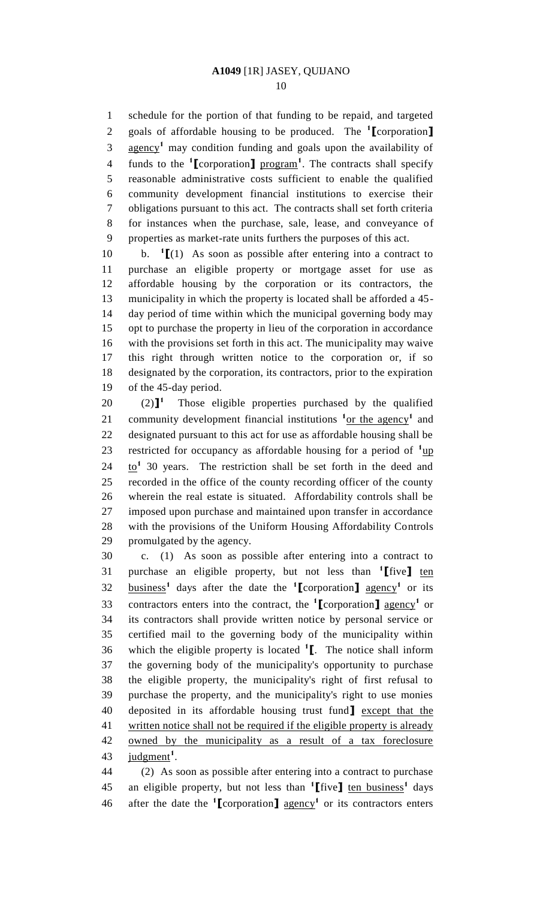schedule for the portion of that funding to be repaid, and targeted goals of affordable housing to be produced. The **<sup>1</sup> [**corporation**]** 3 agency<sup>1</sup> may condition funding and goals upon the availability of funds to the **<sup>1</sup> [**corporation**]** program**<sup>1</sup>** . The contracts shall specify reasonable administrative costs sufficient to enable the qualified community development financial institutions to exercise their obligations pursuant to this act. The contracts shall set forth criteria for instances when the purchase, sale, lease, and conveyance of properties as market-rate units furthers the purposes of this act.

**b.**  $\mathbf{1}$   $\mathbf{[}(\mathbf{1})$  As soon as possible after entering into a contract to purchase an eligible property or mortgage asset for use as affordable housing by the corporation or its contractors, the municipality in which the property is located shall be afforded a 45- day period of time within which the municipal governing body may opt to purchase the property in lieu of the corporation in accordance with the provisions set forth in this act. The municipality may waive this right through written notice to the corporation or, if so designated by the corporation, its contractors, prior to the expiration of the 45-day period.

 $(2)$ <sup>1</sup>  $(2)$ <sup>1</sup> Those eligible properties purchased by the qualified 21 community development financial institutions <sup>1</sup> or the agency<sup>1</sup> and designated pursuant to this act for use as affordable housing shall be 23 restricted for occupancy as affordable housing for a period of  $\frac{1_{\text{up}}}{\text{u} \cdot \text{v}}$  $24 \quad \underline{\text{to}}^1$  30 years. The restriction shall be set forth in the deed and recorded in the office of the county recording officer of the county wherein the real estate is situated. Affordability controls shall be imposed upon purchase and maintained upon transfer in accordance with the provisions of the Uniform Housing Affordability Controls promulgated by the agency.

 c. (1) As soon as possible after entering into a contract to purchase an eligible property, but not less than **<sup>1</sup> [**five**]** ten  $32 \quad \text{business}^1$  days after the date the **1** [corporation] agency<sup>1</sup> or its 33 contractors enters into the contract, the <sup>1</sup>[corporation] agency<sup>1</sup> or its contractors shall provide written notice by personal service or certified mail to the governing body of the municipality within which the eligible property is located **<sup>1</sup> [**. The notice shall inform the governing body of the municipality's opportunity to purchase the eligible property, the municipality's right of first refusal to purchase the property, and the municipality's right to use monies deposited in its affordable housing trust fund**]** except that the 41 written notice shall not be required if the eligible property is already owned by the municipality as a result of a tax foreclosure 43 <u>judgment</u><sup>1</sup>.

 (2) As soon as possible after entering into a contract to purchase an eligible property, but not less than **<sup>1</sup> [**five**]** ten business**<sup>1</sup>** days 46 after the date the  $\binom{1}{k}$  corporation<sub>1</sub> agency<sup>1</sup> or its contractors enters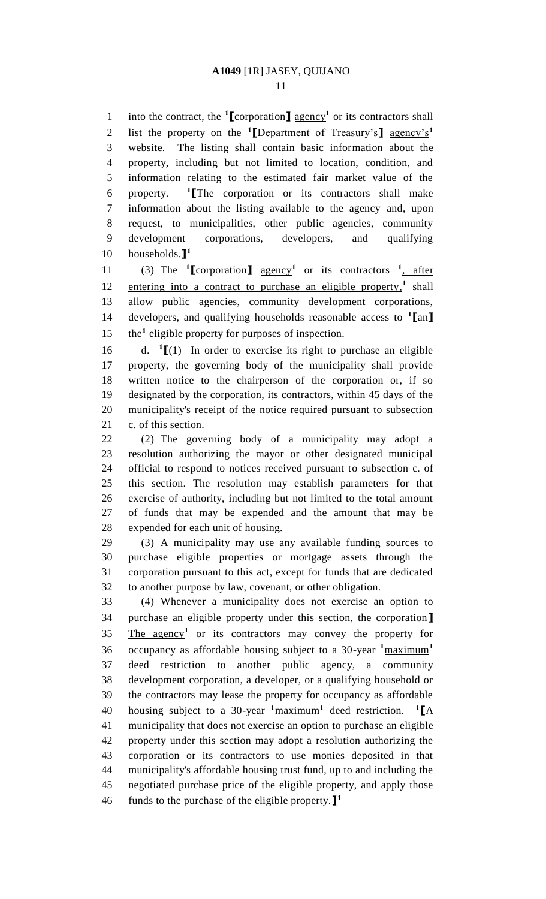into the contract, the  $\text{1}$  **[**corporation**]** agency<sup>1</sup> or its contractors shall list the property on the **<sup>1</sup> [**Department of Treasury's**]** agency's**<sup>1</sup>** website. The listing shall contain basic information about the property, including but not limited to location, condition, and information relating to the estimated fair market value of the property. **<sup>1</sup> [**The corporation or its contractors shall make information about the listing available to the agency and, upon request, to municipalities, other public agencies, community development corporations, developers, and qualifying households.**] 1** 

11 (3) The  $\text{1}$  [corporation]  $\frac{\text{agency}}{\text{1}}$  or its contractors  $\frac{\text{1}}{\text{1}}$ , after 12 entering into a contract to purchase an eligible property,<sup>1</sup> shall allow public agencies, community development corporations, developers, and qualifying households reasonable access to **<sup>1</sup> [**an**]** 15 the<sup>1</sup> eligible property for purposes of inspection.

 $d. \mathbf{1}$   $(1)$  In order to exercise its right to purchase an eligible property, the governing body of the municipality shall provide written notice to the chairperson of the corporation or, if so designated by the corporation, its contractors, within 45 days of the municipality's receipt of the notice required pursuant to subsection c. of this section.

 (2) The governing body of a municipality may adopt a resolution authorizing the mayor or other designated municipal official to respond to notices received pursuant to subsection c. of this section. The resolution may establish parameters for that exercise of authority, including but not limited to the total amount of funds that may be expended and the amount that may be expended for each unit of housing.

 (3) A municipality may use any available funding sources to purchase eligible properties or mortgage assets through the corporation pursuant to this act, except for funds that are dedicated to another purpose by law, covenant, or other obligation.

 (4) Whenever a municipality does not exercise an option to purchase an eligible property under this section, the corporation**]** 35 The agency<sup>1</sup> or its contractors may convey the property for occupancy as affordable housing subject to a 30-year **<sup>1</sup>**maximum**<sup>1</sup>** deed restriction to another public agency, a community development corporation, a developer, or a qualifying household or the contractors may lease the property for occupancy as affordable housing subject to a 30-year **<sup>1</sup>**maximum**<sup>1</sup>** deed restriction. **<sup>1</sup> [**A municipality that does not exercise an option to purchase an eligible property under this section may adopt a resolution authorizing the corporation or its contractors to use monies deposited in that municipality's affordable housing trust fund, up to and including the negotiated purchase price of the eligible property, and apply those funds to the purchase of the eligible property.**] 1**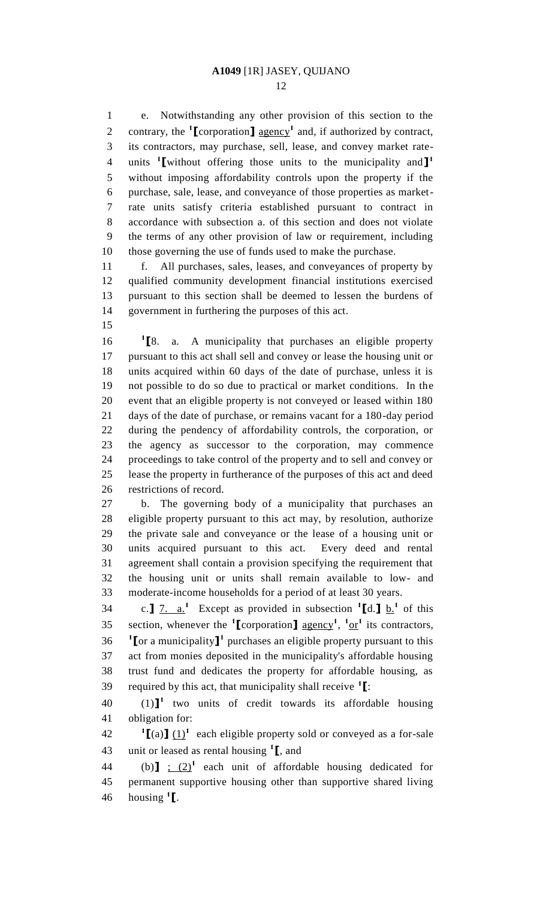e. Notwithstanding any other provision of this section to the 2 contrary, the <sup>1</sup>[corporation] <u>agency</u><sup>1</sup> and, if authorized by contract, its contractors, may purchase, sell, lease, and convey market rateunits **<sup>1</sup> [**without offering those units to the municipality and**] 1** without imposing affordability controls upon the property if the purchase, sale, lease, and conveyance of those properties as market- rate units satisfy criteria established pursuant to contract in accordance with subsection a. of this section and does not violate the terms of any other provision of law or requirement, including those governing the use of funds used to make the purchase.

 f. All purchases, sales, leases, and conveyances of property by qualified community development financial institutions exercised pursuant to this section shall be deemed to lessen the burdens of government in furthering the purposes of this act.

 $^1$ **F**8. **[**8. a. A municipality that purchases an eligible property pursuant to this act shall sell and convey or lease the housing unit or units acquired within 60 days of the date of purchase, unless it is not possible to do so due to practical or market conditions. In the event that an eligible property is not conveyed or leased within 180 days of the date of purchase, or remains vacant for a 180-day period during the pendency of affordability controls, the corporation, or the agency as successor to the corporation, may commence proceedings to take control of the property and to sell and convey or lease the property in furtherance of the purposes of this act and deed restrictions of record.

 b. The governing body of a municipality that purchases an eligible property pursuant to this act may, by resolution, authorize the private sale and conveyance or the lease of a housing unit or units acquired pursuant to this act. Every deed and rental agreement shall contain a provision specifying the requirement that the housing unit or units shall remain available to low- and moderate-income households for a period of at least 30 years.

34 c.]  $\frac{7}{2}$  a.<sup>1</sup> Except as provided in subsection  $^1$ [d.]  $\frac{6}{2}$  of this 35 section, whenever the **<sup>1</sup>** [corporation] <u>agency<sup>1</sup>, <sup>1</sup> or</u><sup>1</sup> its contractors, **[**or a municipality**]**<sup>1</sup> purchases an eligible property pursuant to this act from monies deposited in the municipality's affordable housing trust fund and dedicates the property for affordable housing, as required by this act, that municipality shall receive **<sup>1</sup> [**:

 $(1)$ <sup> $\mathbf{l}$ </sup> two units of credit towards its affordable housing obligation for:

**1**  $\left[\text{(a)}\right]$  (1)<sup>1</sup> each eligible property sold or conveyed as a for-sale unit or leased as rental housing **<sup>1</sup> [**, and

44 (b) $\int$   $\frac{1}{2}$  (2)<sup>1</sup> each unit of affordable housing dedicated for permanent supportive housing other than supportive shared living housing **<sup>1</sup> [**.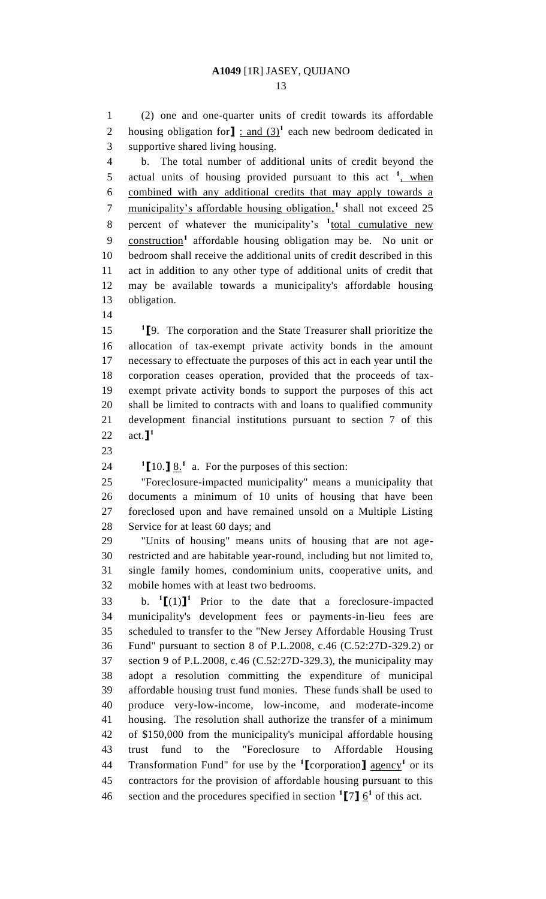(2) one and one-quarter units of credit towards its affordable 2 housing obligation for  $\mathbf{I}$  : and  $(3)^1$  each new bedroom dedicated in supportive shared living housing.

 b. The total number of additional units of credit beyond the 5 actual units of housing provided pursuant to this act <sup>1</sup>, when combined with any additional credits that may apply towards a 7 municipality's affordable housing obligation,<sup>1</sup> shall not exceed 25 8 percent of whatever the municipality's <sup>1</sup><sub>total cumulative new</sub> 9 construction<sup>1</sup> affordable housing obligation may be. No unit or bedroom shall receive the additional units of credit described in this act in addition to any other type of additional units of credit that may be available towards a municipality's affordable housing obligation.

 **[**9. The corporation and the State Treasurer shall prioritize the allocation of tax-exempt private activity bonds in the amount necessary to effectuate the purposes of this act in each year until the corporation ceases operation, provided that the proceeds of tax- exempt private activity bonds to support the purposes of this act shall be limited to contracts with and loans to qualified community development financial institutions pursuant to section 7 of this act.**] 1** 

24  $\textbf{1}$  [10.]  $\underline{8}$ .<sup>1</sup> a. For the purposes of this section:

 "Foreclosure-impacted municipality" means a municipality that documents a minimum of 10 units of housing that have been foreclosed upon and have remained unsold on a Multiple Listing Service for at least 60 days; and

 "Units of housing" means units of housing that are not age- restricted and are habitable year-round, including but not limited to, single family homes, condominium units, cooperative units, and mobile homes with at least two bedrooms.

33 b.  $\textbf{1}$ [(1)]<sup>1</sup> Prior to the date that a foreclosure-impacted municipality's development fees or payments-in-lieu fees are scheduled to transfer to the "New Jersey Affordable Housing Trust Fund" pursuant to section 8 of P.L.2008, c.46 (C.52:27D-329.2) or section 9 of P.L.2008, c.46 (C.52:27D-329.3), the municipality may adopt a resolution committing the expenditure of municipal affordable housing trust fund monies. These funds shall be used to produce very-low-income, low-income, and moderate-income housing. The resolution shall authorize the transfer of a minimum of \$150,000 from the municipality's municipal affordable housing trust fund to the "Foreclosure to Affordable Housing 44 Transformation Fund" for use by the <sup>1</sup>[corporation]  $\frac{1}{\text{agency}}$  or its contractors for the provision of affordable housing pursuant to this 46 section and the procedures specified in section  $\binom{1}{1}$  of this act.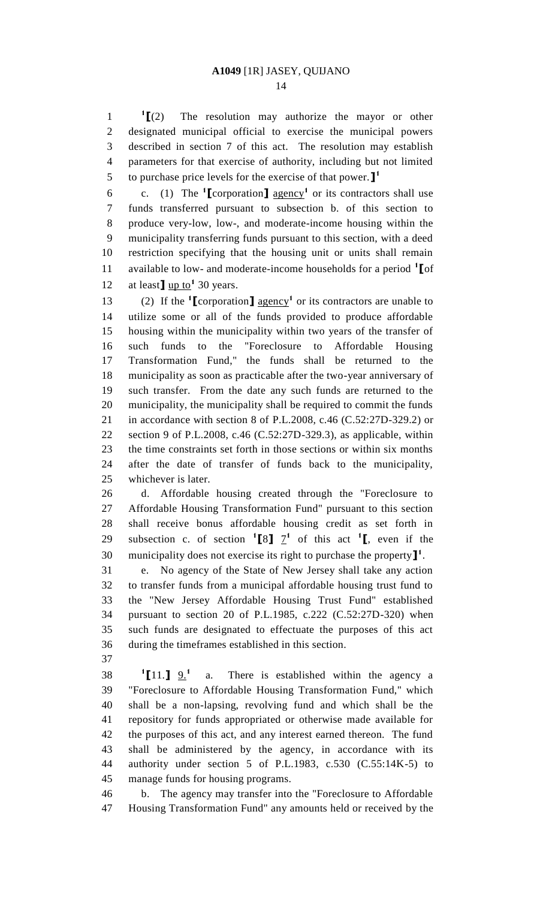$^{1}$ [(2) **[**(2) The resolution may authorize the mayor or other designated municipal official to exercise the municipal powers described in section 7 of this act. The resolution may establish parameters for that exercise of authority, including but not limited to purchase price levels for the exercise of that power.**] 1** 

6 c. (1) The  $\text{1}$  **[**corporation**]** agency<sup>1</sup> or its contractors shall use funds transferred pursuant to subsection b. of this section to produce very-low, low-, and moderate-income housing within the municipality transferring funds pursuant to this section, with a deed restriction specifying that the housing unit or units shall remain available to low- and moderate-income households for a period **<sup>1</sup> [**of 12 at least  $\frac{J \text{ up to}^1}{20 \text{ years}}$ .

13 (2) If the  $\text{1}$  **[**corporation**]** agency<sup>1</sup> or its contractors are unable to utilize some or all of the funds provided to produce affordable housing within the municipality within two years of the transfer of such funds to the "Foreclosure to Affordable Housing Transformation Fund," the funds shall be returned to the municipality as soon as practicable after the two-year anniversary of such transfer. From the date any such funds are returned to the municipality, the municipality shall be required to commit the funds in accordance with section 8 of P.L.2008, c.46 (C.52:27D-329.2) or section 9 of P.L.2008, c.46 (C.52:27D-329.3), as applicable, within the time constraints set forth in those sections or within six months after the date of transfer of funds back to the municipality, whichever is later.

 d. Affordable housing created through the "Foreclosure to Affordable Housing Transformation Fund" pursuant to this section shall receive bonus affordable housing credit as set forth in 29 subsection c. of section  ${}^{1}$ [8]  $I^{1}$  of this act  ${}^{1}$ [, even if the municipality does not exercise its right to purchase the property**] 1** .

 e. No agency of the State of New Jersey shall take any action to transfer funds from a municipal affordable housing trust fund to the "New Jersey Affordable Housing Trust Fund" established pursuant to section 20 of P.L.1985, c.222 (C.52:27D-320) when such funds are designated to effectuate the purposes of this act during the timeframes established in this section.

**[**11.**]**  $9.1$  $\frac{1}{11.}$   $\frac{9.1}{1}$  a. There is established within the agency a "Foreclosure to Affordable Housing Transformation Fund," which shall be a non-lapsing, revolving fund and which shall be the repository for funds appropriated or otherwise made available for the purposes of this act, and any interest earned thereon. The fund shall be administered by the agency, in accordance with its authority under section 5 of P.L.1983, c.530 (C.55:14K-5) to manage funds for housing programs.

 b. The agency may transfer into the "Foreclosure to Affordable Housing Transformation Fund" any amounts held or received by the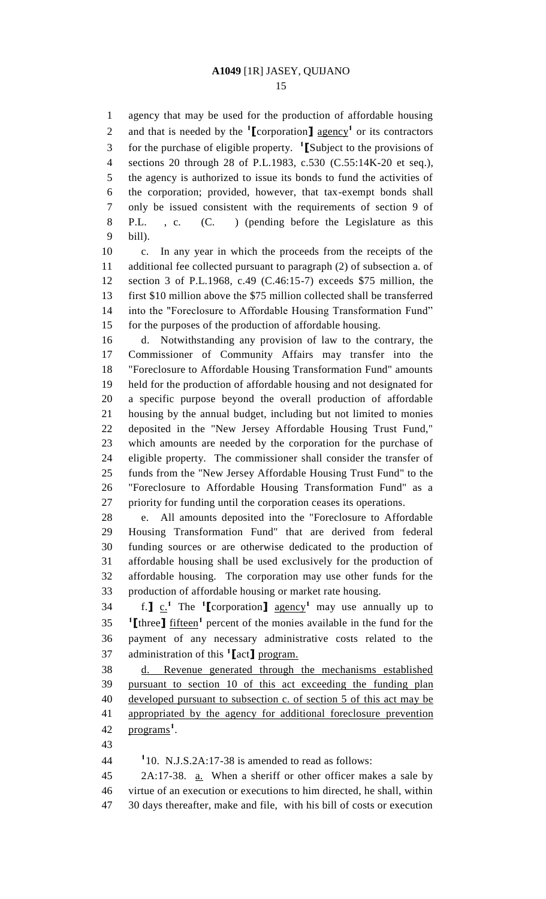agency that may be used for the production of affordable housing 2 and that is needed by the  $\text{1}$  **[**corporation**]** agency<sup>1</sup> or its contractors for the purchase of eligible property. **<sup>1</sup> [**Subject to the provisions of sections 20 through 28 of P.L.1983, c.530 (C.55:14K-20 et seq.), the agency is authorized to issue its bonds to fund the activities of the corporation; provided, however, that tax-exempt bonds shall only be issued consistent with the requirements of section 9 of P.L. , c. (C. ) (pending before the Legislature as this bill).

 c. In any year in which the proceeds from the receipts of the additional fee collected pursuant to paragraph (2) of subsection a. of section 3 of P.L.1968, c.49 (C.46:15-7) exceeds \$75 million, the first \$10 million above the \$75 million collected shall be transferred into the "Foreclosure to Affordable Housing Transformation Fund" for the purposes of the production of affordable housing.

 d. Notwithstanding any provision of law to the contrary, the Commissioner of Community Affairs may transfer into the "Foreclosure to Affordable Housing Transformation Fund" amounts held for the production of affordable housing and not designated for a specific purpose beyond the overall production of affordable housing by the annual budget, including but not limited to monies deposited in the "New Jersey Affordable Housing Trust Fund," which amounts are needed by the corporation for the purchase of eligible property. The commissioner shall consider the transfer of funds from the "New Jersey Affordable Housing Trust Fund" to the "Foreclosure to Affordable Housing Transformation Fund" as a priority for funding until the corporation ceases its operations.

 e. All amounts deposited into the "Foreclosure to Affordable Housing Transformation Fund" that are derived from federal funding sources or are otherwise dedicated to the production of affordable housing shall be used exclusively for the production of affordable housing. The corporation may use other funds for the production of affordable housing or market rate housing.

 $f: \mathbf{J} \times \mathbf{I}^1$  The **1** [corporation ] agency<sup>1</sup> may use annually up to **1I** three **]** fifteen<sup>1</sup> percent of the monies available in the fund for the payment of any necessary administrative costs related to the administration of this **<sup>1</sup> [**act**]** program.

 d. Revenue generated through the mechanisms established pursuant to section 10 of this act exceeding the funding plan developed pursuant to subsection c. of section 5 of this act may be appropriated by the agency for additional foreclosure prevention 42 programs<sup>1</sup>.

**1** 10. N.J.S.2A:17-38 is amended to read as follows:

 2A:17-38. a. When a sheriff or other officer makes a sale by virtue of an execution or executions to him directed, he shall, within 30 days thereafter, make and file, with his bill of costs or execution